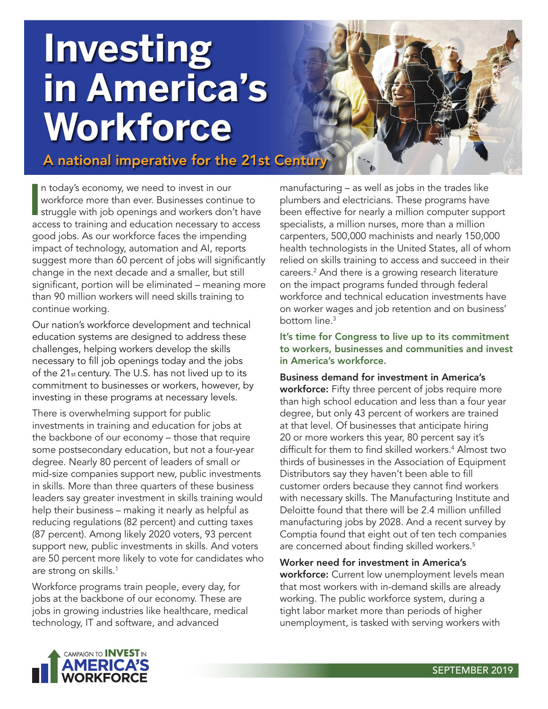# **Investing in America's Workforce**

A national imperative for the 21st Centur

In today's economy, we need to invest in our<br>workforce more than ever. Businesses continue to<br>struggle with job openings and workers don't have n today's economy, we need to invest in our workforce more than ever. Businesses continue to access to training and education necessary to access good jobs. As our workforce faces the impending impact of technology, automation and AI, reports suggest more than 60 percent of jobs will significantly change in the next decade and a smaller, but still significant, portion will be eliminated – meaning more than 90 million workers will need skills training to continue working.

Our nation's workforce development and technical education systems are designed to address these challenges, helping workers develop the skills necessary to fill job openings today and the jobs of the  $21<sub>st</sub>$  century. The U.S. has not lived up to its commitment to businesses or workers, however, by investing in these programs at necessary levels.

There is overwhelming support for public investments in training and education for jobs at the backbone of our economy – those that require some postsecondary education, but not a four-year degree. Nearly 80 percent of leaders of small or mid-size companies support new, public investments in skills. More than three quarters of these business leaders say greater investment in skills training would help their business – making it nearly as helpful as reducing regulations (82 percent) and cutting taxes (87 percent). Among likely 2020 voters, 93 percent support new, public investments in skills. And voters are 50 percent more likely to vote for candidates who are strong on skills.<sup>1</sup>

Workforce programs train people, every day, for jobs at the backbone of our economy. These are jobs in growing industries like healthcare, medical technology, IT and software, and advanced

manufacturing – as well as jobs in the trades like plumbers and electricians. These programs have been effective for nearly a million computer support specialists, a million nurses, more than a million carpenters, 500,000 machinists and nearly 150,000 health technologists in the United States, all of whom relied on skills training to access and succeed in their careers.2 And there is a growing research literature on the impact programs funded through federal workforce and technical education investments have on worker wages and job retention and on business' bottom line.<sup>3</sup>

It's time for Congress to live up to its commitment to workers, businesses and communities and invest in America's workforce.

Business demand for investment in America's workforce: Fifty three percent of jobs require more than high school education and less than a four year degree, but only 43 percent of workers are trained at that level. Of businesses that anticipate hiring 20 or more workers this year, 80 percent say it's difficult for them to find skilled workers.4 Almost two thirds of businesses in the Association of Equipment Distributors say they haven't been able to fill customer orders because they cannot find workers with necessary skills. The Manufacturing Institute and Deloitte found that there will be 2.4 million unfilled manufacturing jobs by 2028. And a recent survey by Comptia found that eight out of ten tech companies are concerned about finding skilled workers.<sup>5</sup>

Worker need for investment in America's workforce: Current low unemployment levels mean that most workers with in-demand skills are already working. The public workforce system, during a tight labor market more than periods of higher unemployment, is tasked with serving workers with

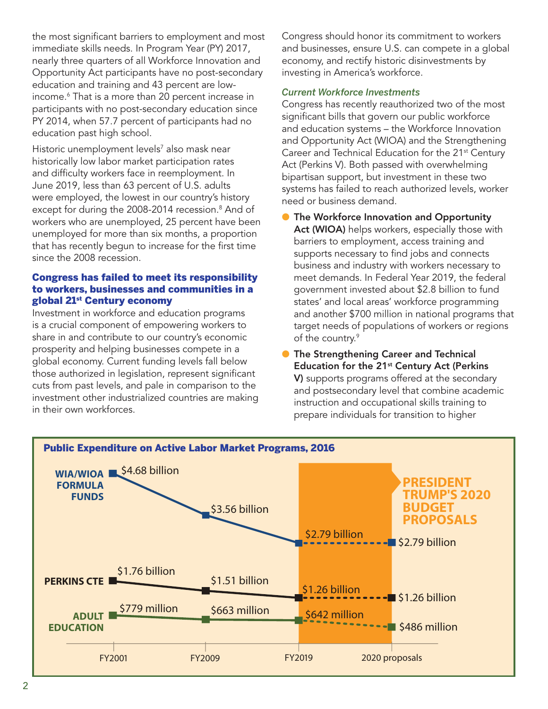the most significant barriers to employment and most immediate skills needs. In Program Year (PY) 2017, nearly three quarters of all Workforce Innovation and Opportunity Act participants have no post-secondary education and training and 43 percent are lowincome.6 That is a more than 20 percent increase in participants with no post-secondary education since PY 2014, when 57.7 percent of participants had no education past high school.

Historic unemployment levels<sup>7</sup> also mask near historically low labor market participation rates and difficulty workers face in reemployment. In June 2019, less than 63 percent of U.S. adults were employed, the lowest in our country's history except for during the 2008-2014 recession.<sup>8</sup> And of workers who are unemployed, 25 percent have been unemployed for more than six months, a proportion that has recently begun to increase for the first time since the 2008 recession.

# Congress has failed to meet its responsibility to workers, businesses and communities in a global 21st Century economy

Investment in workforce and education programs is a crucial component of empowering workers to share in and contribute to our country's economic prosperity and helping businesses compete in a global economy. Current funding levels fall below those authorized in legislation, represent significant cuts from past levels, and pale in comparison to the investment other industrialized countries are making in their own workforces.

Congress should honor its commitment to workers and businesses, ensure U.S. can compete in a global economy, and rectify historic disinvestments by investing in America's workforce.

# *Current Workforce Investments*

Congress has recently reauthorized two of the most significant bills that govern our public workforce and education systems – the Workforce Innovation and Opportunity Act (WIOA) and the Strengthening Career and Technical Education for the 21<sup>st</sup> Century Act (Perkins V). Both passed with overwhelming bipartisan support, but investment in these two systems has failed to reach authorized levels, worker need or business demand.

● The Workforce Innovation and Opportunity Act (WIOA) helps workers, especially those with barriers to employment, access training and supports necessary to find jobs and connects business and industry with workers necessary to meet demands. In Federal Year 2019, the federal government invested about \$2.8 billion to fund states' and local areas' workforce programming and another \$700 million in national programs that target needs of populations of workers or regions of the country.<sup>9</sup>

**• The Strengthening Career and Technical** Education for the 21<sup>st</sup> Century Act (Perkins V) supports programs offered at the secondary and postsecondary level that combine academic instruction and occupational skills training to prepare individuals for transition to higher

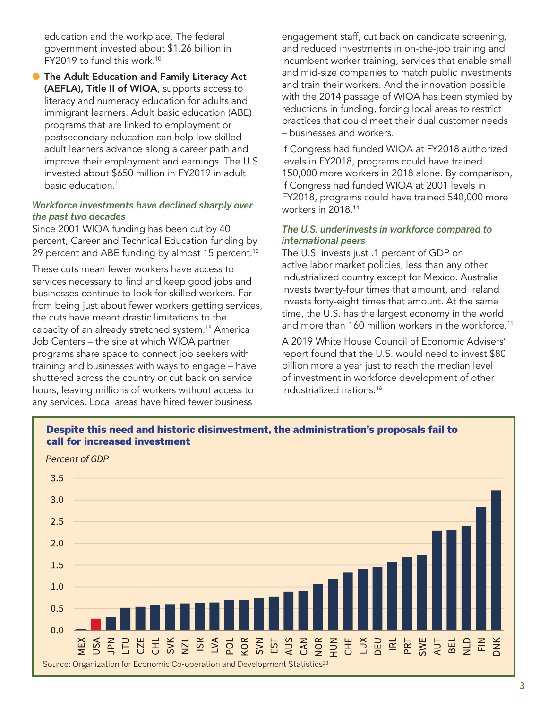education and the workplace. The federal government invested about \$1.26 billion in FY2019 to fund this work.10

● The Adult Education and Family Literacy Act (AEFLA), Title II of WIOA, supports access to literacy and numeracy education for adults and immigrant learners. Adult basic education (ABE) programs that are linked to employment or postsecondary education can help low-skilled adult learners advance along a career path and improve their employment and earnings. The U.S. invested about \$650 million in FY2019 in adult basic education.11

### *Workforce investments have declined sharply over the past two decades*

Since 2001 WIOA funding has been cut by 40 percent, Career and Technical Education funding by 29 percent and ABE funding by almost 15 percent.<sup>12</sup>

These cuts mean fewer workers have access to services necessary to find and keep good jobs and businesses continue to look for skilled workers. Far from being just about fewer workers getting services, the cuts have meant drastic limitations to the capacity of an already stretched system.<sup>13</sup> America Job Centers – the site at which WIOA partner programs share space to connect job seekers with training and businesses with ways to engage – have shuttered across the country or cut back on service hours, leaving millions of workers without access to any services. Local areas have hired fewer business

engagement staff, cut back on candidate screening, and reduced investments in on-the-job training and incumbent worker training, services that enable small and mid-size companies to match public investments and train their workers. And the innovation possible with the 2014 passage of WIOA has been stymied by reductions in funding, forcing local areas to restrict practices that could meet their dual customer needs – businesses and workers.

If Congress had funded WIOA at FY2018 authorized levels in FY2018, programs could have trained 150,000 more workers in 2018 alone. By comparison, if Congress had funded WIOA at 2001 levels in FY2018, programs could have trained 540,000 more workers in 2018.14

### *The U.S. underinvests in workforce compared to international peers*

The U.S. invests just .1 percent of GDP on active labor market policies, less than any other industrialized country except for Mexico. Australia invests twenty-four times that amount, and Ireland invests forty-eight times that amount. At the same time, the U.S. has the largest economy in the world and more than 160 million workers in the workforce.<sup>15</sup>

A 2019 White House Council of Economic Advisers' report found that the U.S. would need to invest \$80 billion more a year just to reach the median level of investment in workforce development of other industrialized nations.16